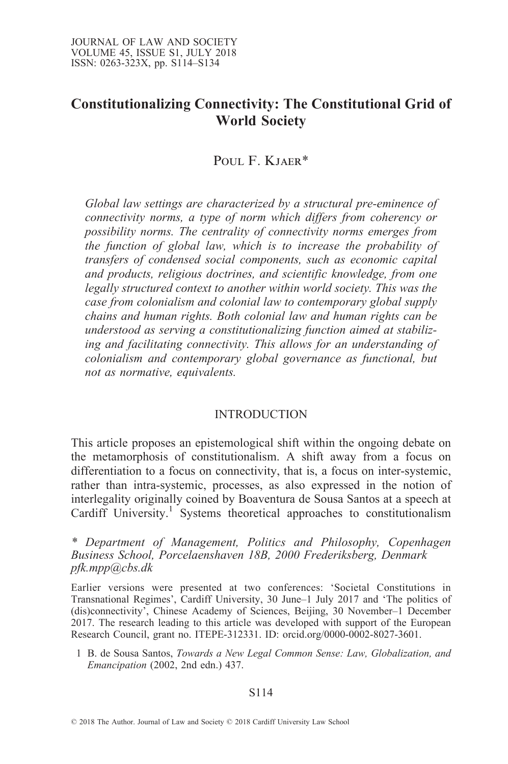# Constitutionalizing Connectivity: The Constitutional Grid of World Society

POUL F. KJAER\*

Global law settings are characterized by a structural pre-eminence of connectivity norms, a type of norm which differs from coherency or possibility norms. The centrality of connectivity norms emerges from the function of global law, which is to increase the probability of transfers of condensed social components, such as economic capital and products, religious doctrines, and scientific knowledge, from one legally structured context to another within world society. This was the case from colonialism and colonial law to contemporary global supply chains and human rights. Both colonial law and human rights can be understood as serving a constitutionalizing function aimed at stabilizing and facilitating connectivity. This allows for an understanding of colonialism and contemporary global governance as functional, but not as normative, equivalents.

### INTRODUCTION

This article proposes an epistemological shift within the ongoing debate on the metamorphosis of constitutionalism. A shift away from a focus on differentiation to a focus on connectivity, that is, a focus on inter-systemic, rather than intra-systemic, processes, as also expressed in the notion of interlegality originally coined by Boaventura de Sousa Santos at a speech at Cardiff University.<sup>1</sup> Systems theoretical approaches to constitutionalism

\* Department of Management, Politics and Philosophy, Copenhagen Business School, Porcelaenshaven 18B, 2000 Frederiksberg, Denmark pfk.mpp@cbs.dk

Earlier versions were presented at two conferences: `Societal Constitutions in Transnational Regimes', Cardiff University, 30 June-1 July 2017 and 'The politics of (dis)connectivity', Chinese Academy of Sciences, Beijing, 30 November–1 December 2017. The research leading to this article was developed with support of the European Research Council, grant no. ITEPE-312331. ID: orcid.org/0000-0002-8027-3601.

1 B. de Sousa Santos, Towards a New Legal Common Sense: Law, Globalization, and Emancipation (2002, 2nd edn.) 437.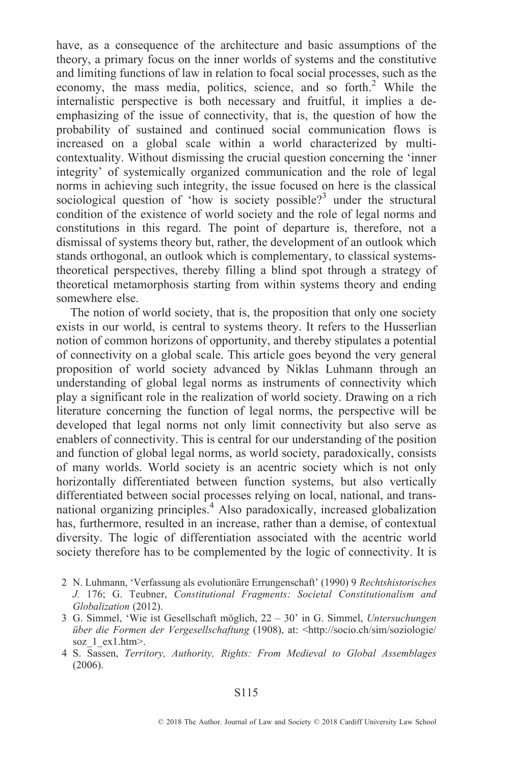have, as a consequence of the architecture and basic assumptions of the theory, a primary focus on the inner worlds of systems and the constitutive and limiting functions of law in relation to focal social processes, such as the economy, the mass media, politics, science, and so forth.<sup>2</sup> While the internalistic perspective is both necessary and fruitful, it implies a deemphasizing of the issue of connectivity, that is, the question of how the probability of sustained and continued social communication flows is increased on a global scale within a world characterized by multicontextuality. Without dismissing the crucial question concerning the `inner integrity' of systemically organized communication and the role of legal norms in achieving such integrity, the issue focused on here is the classical sociological question of 'how is society possible?<sup>3</sup> under the structural condition of the existence of world society and the role of legal norms and constitutions in this regard. The point of departure is, therefore, not a dismissal of systems theory but, rather, the development of an outlook which stands orthogonal, an outlook which is complementary, to classical systemstheoretical perspectives, thereby filling a blind spot through a strategy of theoretical metamorphosis starting from within systems theory and ending somewhere else.

The notion of world society, that is, the proposition that only one society exists in our world, is central to systems theory. It refers to the Husserlian notion of common horizons of opportunity, and thereby stipulates a potential of connectivity on a global scale. This article goes beyond the very general proposition of world society advanced by Niklas Luhmann through an understanding of global legal norms as instruments of connectivity which play a significant role in the realization of world society. Drawing on a rich literature concerning the function of legal norms, the perspective will be developed that legal norms not only limit connectivity but also serve as enablers of connectivity. This is central for our understanding of the position and function of global legal norms, as world society, paradoxically, consists of many worlds. World society is an acentric society which is not only horizontally differentiated between function systems, but also vertically differentiated between social processes relying on local, national, and transnational organizing principles.4 Also paradoxically, increased globalization has, furthermore, resulted in an increase, rather than a demise, of contextual diversity. The logic of differentiation associated with the acentric world society therefore has to be complemented by the logic of connectivity. It is

- 2 N. Luhmann, 'Verfassung als evolutionäre Errungenschaft' (1990) 9 Rechtshistorisches J. 176; G. Teubner, Constitutional Fragments: Societal Constitutionalism and Globalization (2012).
- 3 G. Simmel, 'Wie ist Gesellschaft möglich,  $22 30'$  in G. Simmel, Untersuchungen über die Formen der Vergesellschaftung (1908), at: <http://socio.ch/sim/soziologie/ soz 1 ex1.htm>.
- 4 S. Sassen, Territory, Authority, Rights: From Medieval to Global Assemblages (2006).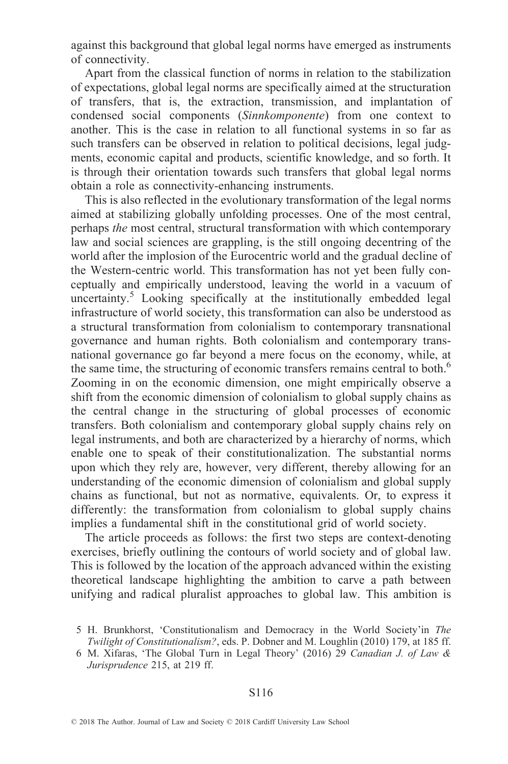against this background that global legal norms have emerged as instruments of connectivity.

Apart from the classical function of norms in relation to the stabilization of expectations, global legal norms are specifically aimed at the structuration of transfers, that is, the extraction, transmission, and implantation of condensed social components (Sinnkomponente) from one context to another. This is the case in relation to all functional systems in so far as such transfers can be observed in relation to political decisions, legal judgments, economic capital and products, scientific knowledge, and so forth. It is through their orientation towards such transfers that global legal norms obtain a role as connectivity-enhancing instruments.

This is also reflected in the evolutionary transformation of the legal norms aimed at stabilizing globally unfolding processes. One of the most central, perhaps the most central, structural transformation with which contemporary law and social sciences are grappling, is the still ongoing decentring of the world after the implosion of the Eurocentric world and the gradual decline of the Western-centric world. This transformation has not yet been fully conceptually and empirically understood, leaving the world in a vacuum of uncertainty.<sup>5</sup> Looking specifically at the institutionally embedded legal infrastructure of world society, this transformation can also be understood as a structural transformation from colonialism to contemporary transnational governance and human rights. Both colonialism and contemporary transnational governance go far beyond a mere focus on the economy, while, at the same time, the structuring of economic transfers remains central to both.<sup>6</sup> Zooming in on the economic dimension, one might empirically observe a shift from the economic dimension of colonialism to global supply chains as the central change in the structuring of global processes of economic transfers. Both colonialism and contemporary global supply chains rely on legal instruments, and both are characterized by a hierarchy of norms, which enable one to speak of their constitutionalization. The substantial norms upon which they rely are, however, very different, thereby allowing for an understanding of the economic dimension of colonialism and global supply chains as functional, but not as normative, equivalents. Or, to express it differently: the transformation from colonialism to global supply chains implies a fundamental shift in the constitutional grid of world society.

The article proceeds as follows: the first two steps are context-denoting exercises, briefly outlining the contours of world society and of global law. This is followed by the location of the approach advanced within the existing theoretical landscape highlighting the ambition to carve a path between unifying and radical pluralist approaches to global law. This ambition is

<sup>5</sup> H. Brunkhorst, `Constitutionalism and Democracy in the World Society'in The Twilight of Constitutionalism?, eds. P. Dobner and M. Loughlin (2010) 179, at 185 ff.

<sup>6</sup> M. Xifaras, `The Global Turn in Legal Theory' (2016) 29 Canadian J. of Law & Jurisprudence 215, at 219 ff.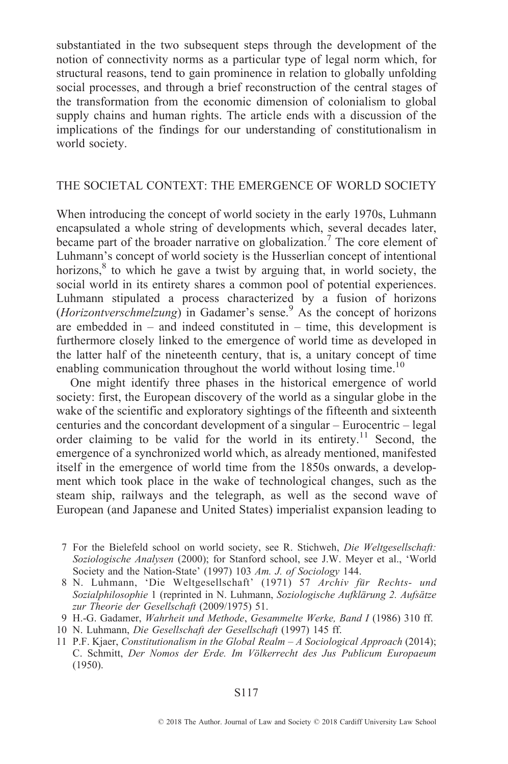substantiated in the two subsequent steps through the development of the notion of connectivity norms as a particular type of legal norm which, for structural reasons, tend to gain prominence in relation to globally unfolding social processes, and through a brief reconstruction of the central stages of the transformation from the economic dimension of colonialism to global supply chains and human rights. The article ends with a discussion of the implications of the findings for our understanding of constitutionalism in world society.

# THE SOCIETAL CONTEXT: THE EMERGENCE OF WORLD SOCIETY

When introducing the concept of world society in the early 1970s, Luhmann encapsulated a whole string of developments which, several decades later, became part of the broader narrative on globalization.<sup>7</sup> The core element of Luhmann's concept of world society is the Husserlian concept of intentional horizons, $8$  to which he gave a twist by arguing that, in world society, the social world in its entirety shares a common pool of potential experiences. Luhmann stipulated a process characterized by a fusion of horizons (*Horizontverschmelzung*) in Gadamer's sense.<sup>9</sup> As the concept of horizons are embedded in  $-$  and indeed constituted in  $-$  time, this development is furthermore closely linked to the emergence of world time as developed in the latter half of the nineteenth century, that is, a unitary concept of time enabling communication throughout the world without losing time.<sup>10</sup>

One might identify three phases in the historical emergence of world society: first, the European discovery of the world as a singular globe in the wake of the scientific and exploratory sightings of the fifteenth and sixteenth centuries and the concordant development of a singular  $-$  Eurocentric  $-$  legal order claiming to be valid for the world in its entirety.11 Second, the emergence of a synchronized world which, as already mentioned, manifested itself in the emergence of world time from the 1850s onwards, a development which took place in the wake of technological changes, such as the steam ship, railways and the telegraph, as well as the second wave of European (and Japanese and United States) imperialist expansion leading to

- 9 H.-G. Gadamer, Wahrheit und Methode, Gesammelte Werke, Band I (1986) 310 ff.
- 10 N. Luhmann, Die Gesellschaft der Gesellschaft (1997) 145 ff.

<sup>7</sup> For the Bielefeld school on world society, see R. Stichweh, Die Weltgesellschaft: Soziologische Analysen (2000); for Stanford school, see J.W. Meyer et al., `World Society and the Nation-State' (1997) 103 Am. J. of Sociology 144.

<sup>8</sup> N. Luhmann, 'Die Weltgesellschaft' (1971) 57 Archiv für Rechts- und Sozialphilosophie 1 (reprinted in N. Luhmann, Soziologische Aufklärung 2. Aufsätze zur Theorie der Gesellschaft (2009/1975) 51.

<sup>11</sup> P.F. Kjaer, Constitutionalism in the Global Realm  $-A$  Sociological Approach (2014); C. Schmitt, Der Nomos der Erde. Im Völkerrecht des Jus Publicum Europaeum (1950).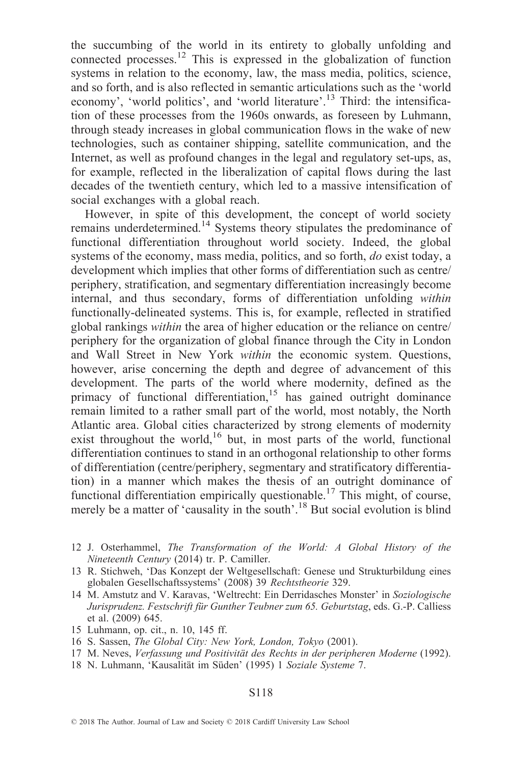the succumbing of the world in its entirety to globally unfolding and connected processes.12 This is expressed in the globalization of function systems in relation to the economy, law, the mass media, politics, science, and so forth, and is also reflected in semantic articulations such as the `world economy', 'world politics', and 'world literature'.<sup>13</sup> Third: the intensification of these processes from the 1960s onwards, as foreseen by Luhmann, through steady increases in global communication flows in the wake of new technologies, such as container shipping, satellite communication, and the Internet, as well as profound changes in the legal and regulatory set-ups, as, for example, reflected in the liberalization of capital flows during the last decades of the twentieth century, which led to a massive intensification of social exchanges with a global reach.

However, in spite of this development, the concept of world society remains underdetermined.<sup>14</sup> Systems theory stipulates the predominance of functional differentiation throughout world society. Indeed, the global systems of the economy, mass media, politics, and so forth, *do* exist today, a development which implies that other forms of differentiation such as centre/ periphery, stratification, and segmentary differentiation increasingly become internal, and thus secondary, forms of differentiation unfolding within functionally-delineated systems. This is, for example, reflected in stratified global rankings within the area of higher education or the reliance on centre/ periphery for the organization of global finance through the City in London and Wall Street in New York within the economic system. Questions, however, arise concerning the depth and degree of advancement of this development. The parts of the world where modernity, defined as the primacy of functional differentiation,<sup>15</sup> has gained outright dominance remain limited to a rather small part of the world, most notably, the North Atlantic area. Global cities characterized by strong elements of modernity exist throughout the world,<sup>16</sup> but, in most parts of the world, functional differentiation continues to stand in an orthogonal relationship to other forms of differentiation (centre/periphery, segmentary and stratificatory differentiation) in a manner which makes the thesis of an outright dominance of functional differentiation empirically questionable.<sup>17</sup> This might, of course, merely be a matter of 'causality in the south'.<sup>18</sup> But social evolution is blind

- 12 J. Osterhammel, The Transformation of the World: A Global History of the Nineteenth Century (2014) tr. P. Camiller.
- 13 R. Stichweh, `Das Konzept der Weltgesellschaft: Genese und Strukturbildung eines globalen Gesellschaftssystems' (2008) 39 Rechtstheorie 329.
- 14 M. Amstutz and V. Karavas, `Weltrecht: Ein Derridasches Monster' in Soziologische Jurisprudenz. Festschrift für Gunther Teubner zum 65. Geburtstag, eds. G.-P. Calliess et al. (2009) 645.
- 15 Luhmann, op. cit., n. 10, 145 ff.
- 16 S. Sassen, The Global City: New York, London, Tokyo (2001).
- 17 M. Neves, Verfassung und Positivität des Rechts in der peripheren Moderne (1992).
- 18 N. Luhmann, 'Kausalität im Süden' (1995) 1 Soziale Systeme 7.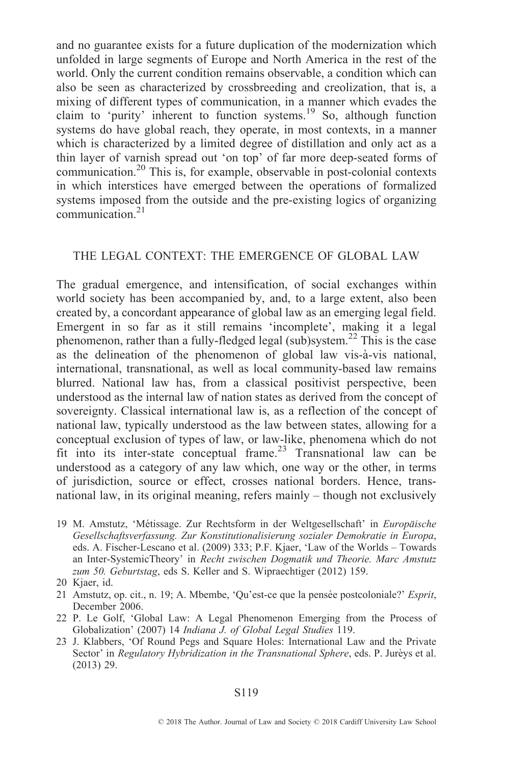and no guarantee exists for a future duplication of the modernization which unfolded in large segments of Europe and North America in the rest of the world. Only the current condition remains observable, a condition which can also be seen as characterized by crossbreeding and creolization, that is, a mixing of different types of communication, in a manner which evades the claim to 'purity' inherent to function systems.<sup>19</sup> So, although function systems do have global reach, they operate, in most contexts, in a manner which is characterized by a limited degree of distillation and only act as a thin layer of varnish spread out 'on top' of far more deep-seated forms of communication.20 This is, for example, observable in post-colonial contexts in which interstices have emerged between the operations of formalized systems imposed from the outside and the pre-existing logics of organizing communication.21

### THE LEGAL CONTEXT: THE EMERGENCE OF GLOBAL LAW

The gradual emergence, and intensification, of social exchanges within world society has been accompanied by, and, to a large extent, also been created by, a concordant appearance of global law as an emerging legal field. Emergent in so far as it still remains 'incomplete', making it a legal phenomenon, rather than a fully-fledged legal (sub)system.<sup>22</sup> This is the case as the delineation of the phenomenon of global law vis-à-vis national, international, transnational, as well as local community-based law remains blurred. National law has, from a classical positivist perspective, been understood as the internal law of nation states as derived from the concept of sovereignty. Classical international law is, as a reflection of the concept of national law, typically understood as the law between states, allowing for a conceptual exclusion of types of law, or law-like, phenomena which do not fit into its inter-state conceptual frame. <sup>23</sup> Transnational law can be understood as a category of any law which, one way or the other, in terms of jurisdiction, source or effect, crosses national borders. Hence, transnational law, in its original meaning, refers mainly  $-$  though not exclusively

19 M. Amstutz, 'Métissage. Zur Rechtsform in der Weltgesellschaft' in Europäische Gesellschaftsverfassung. Zur Konstitutionalisierung sozialer Demokratie in Europa, eds. A. Fischer-Lescano et al. (2009) 333; P.F. Kjaer, 'Law of the Worlds - Towards an Inter-SystemicTheory' in Recht zwischen Dogmatik und Theorie. Marc Amstutz zum 50. Geburtstag, eds S. Keller and S. Wipraechtiger (2012) 159.

- 21 Amstutz, op. cit., n. 19; A. Mbembe, 'Qu'est-ce que la pensée postcoloniale?' Esprit, December 2006.
- 22 P. Le Golf, `Global Law: A Legal Phenomenon Emerging from the Process of Globalization' (2007) 14 Indiana J. of Global Legal Studies 119.
- 23 J. Klabbers, `Of Round Pegs and Square Holes: International Law and the Private Sector' in Regulatory Hybridization in the Transnational Sphere, eds. P. Jureys et al. (2013) 29.

<sup>20</sup> Kjaer, id.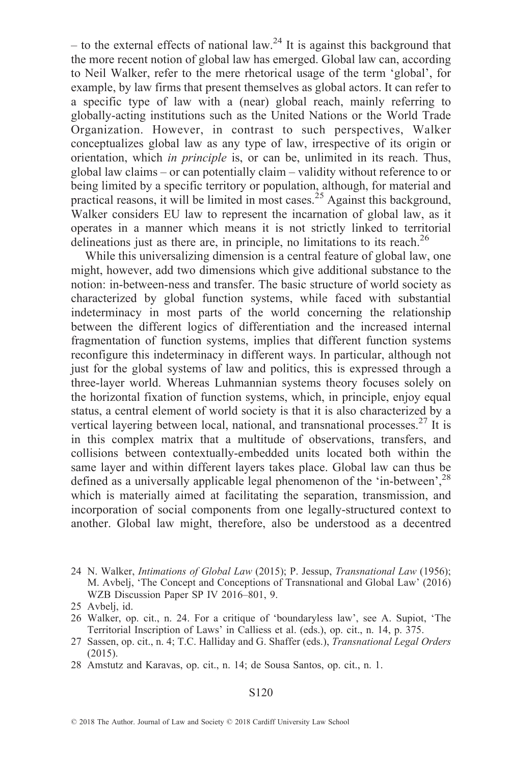$-$  to the external effects of national law.<sup>24</sup> It is against this background that the more recent notion of global law has emerged. Global law can, according to Neil Walker, refer to the mere rhetorical usage of the term `global', for example, by law firms that present themselves as global actors. It can refer to a specific type of law with a (near) global reach, mainly referring to globally-acting institutions such as the United Nations or the World Trade Organization. However, in contrast to such perspectives, Walker conceptualizes global law as any type of law, irrespective of its origin or orientation, which in principle is, or can be, unlimited in its reach. Thus, global law claims  $-$  or can potentially claim  $-$  validity without reference to or being limited by a specific territory or population, although, for material and practical reasons, it will be limited in most cases.<sup>25</sup> Against this background, Walker considers EU law to represent the incarnation of global law, as it operates in a manner which means it is not strictly linked to territorial delineations just as there are, in principle, no limitations to its reach.<sup>26</sup>

While this universalizing dimension is a central feature of global law, one might, however, add two dimensions which give additional substance to the notion: in-between-ness and transfer. The basic structure of world society as characterized by global function systems, while faced with substantial indeterminacy in most parts of the world concerning the relationship between the different logics of differentiation and the increased internal fragmentation of function systems, implies that different function systems reconfigure this indeterminacy in different ways. In particular, although not just for the global systems of law and politics, this is expressed through a three-layer world. Whereas Luhmannian systems theory focuses solely on the horizontal fixation of function systems, which, in principle, enjoy equal status, a central element of world society is that it is also characterized by a vertical layering between local, national, and transnational processes.  $27$  It is in this complex matrix that a multitude of observations, transfers, and collisions between contextually-embedded units located both within the same layer and within different layers takes place. Global law can thus be defined as a universally applicable legal phenomenon of the 'in-between',<sup>28</sup> which is materially aimed at facilitating the separation, transmission, and incorporation of social components from one legally-structured context to another. Global law might, therefore, also be understood as a decentred

<sup>24</sup> N. Walker, Intimations of Global Law (2015); P. Jessup, Transnational Law (1956); M. Avbelj, `The Concept and Conceptions of Transnational and Global Law' (2016) WZB Discussion Paper SP IV 2016-801, 9.

<sup>25</sup> Avbelj, id.

<sup>26</sup> Walker, op. cit., n. 24. For a critique of `boundaryless law', see A. Supiot, `The Territorial Inscription of Laws' in Calliess et al. (eds.), op. cit., n. 14, p. 375.

<sup>27</sup> Sassen, op. cit., n. 4; T.C. Halliday and G. Shaffer (eds.), *Transnational Legal Orders* (2015).

<sup>28</sup> Amstutz and Karavas, op. cit., n. 14; de Sousa Santos, op. cit., n. 1.

<sup>© 2018</sup> The Author. Journal of Law and Society © 2018 Cardiff University Law School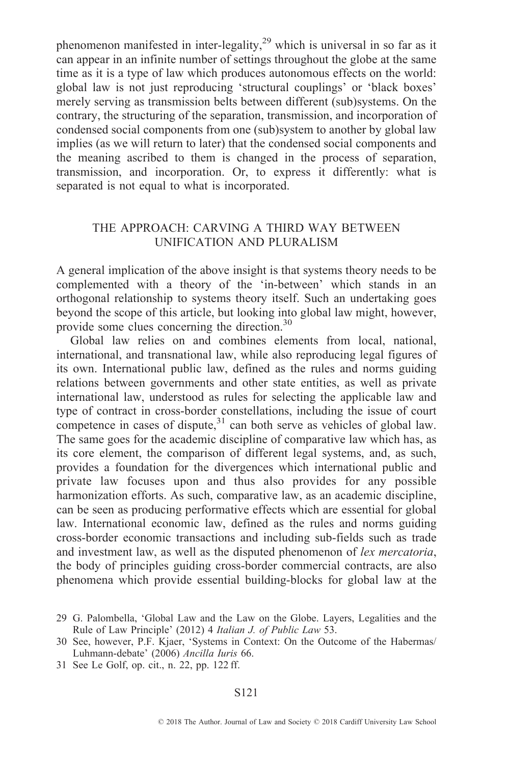phenomenon manifested in inter-legality,<sup>29</sup> which is universal in so far as it can appear in an infinite number of settings throughout the globe at the same time as it is a type of law which produces autonomous effects on the world: global law is not just reproducing `structural couplings' or `black boxes' merely serving as transmission belts between different (sub)systems. On the contrary, the structuring of the separation, transmission, and incorporation of condensed social components from one (sub)system to another by global law implies (as we will return to later) that the condensed social components and the meaning ascribed to them is changed in the process of separation, transmission, and incorporation. Or, to express it differently: what is separated is not equal to what is incorporated.

# THE APPROACH: CARVING A THIRD WAY BETWEEN UNIFICATION AND PLURALISM

A general implication of the above insight is that systems theory needs to be complemented with a theory of the 'in-between' which stands in an orthogonal relationship to systems theory itself. Such an undertaking goes beyond the scope of this article, but looking into global law might, however, provide some clues concerning the direction.30

Global law relies on and combines elements from local, national, international, and transnational law, while also reproducing legal figures of its own. International public law, defined as the rules and norms guiding relations between governments and other state entities, as well as private international law, understood as rules for selecting the applicable law and type of contract in cross-border constellations, including the issue of court competence in cases of dispute, $31$  can both serve as vehicles of global law. The same goes for the academic discipline of comparative law which has, as its core element, the comparison of different legal systems, and, as such, provides a foundation for the divergences which international public and private law focuses upon and thus also provides for any possible harmonization efforts. As such, comparative law, as an academic discipline, can be seen as producing performative effects which are essential for global law. International economic law, defined as the rules and norms guiding cross-border economic transactions and including sub-fields such as trade and investment law, as well as the disputed phenomenon of lex mercatoria, the body of principles guiding cross-border commercial contracts, are also phenomena which provide essential building-blocks for global law at the

31 See Le Golf, op. cit., n. 22, pp. 122 ff.

<sup>29</sup> G. Palombella, `Global Law and the Law on the Globe. Layers, Legalities and the Rule of Law Principle' (2012) 4 Italian J. of Public Law 53.

<sup>30</sup> See, however, P.F. Kjaer, `Systems in Context: On the Outcome of the Habermas/ Luhmann-debate' (2006) Ancilla Iuris 66.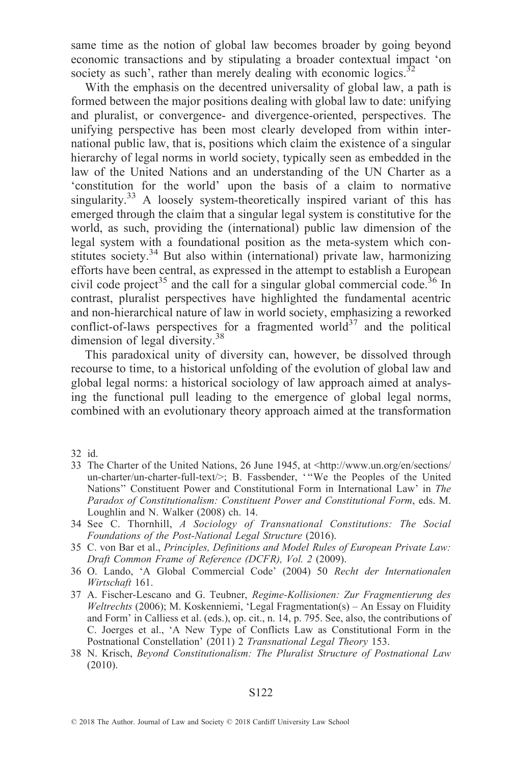same time as the notion of global law becomes broader by going beyond economic transactions and by stipulating a broader contextual impact `on society as such', rather than merely dealing with economic logics. $32$ 

With the emphasis on the decentred universality of global law, a path is formed between the major positions dealing with global law to date: unifying and pluralist, or convergence- and divergence-oriented, perspectives. The unifying perspective has been most clearly developed from within international public law, that is, positions which claim the existence of a singular hierarchy of legal norms in world society, typically seen as embedded in the law of the United Nations and an understanding of the UN Charter as a `constitution for the world' upon the basis of a claim to normative singularity.<sup>33</sup> A loosely system-theoretically inspired variant of this has emerged through the claim that a singular legal system is constitutive for the world, as such, providing the (international) public law dimension of the legal system with a foundational position as the meta-system which constitutes society.<sup>34</sup> But also within (international) private law, harmonizing efforts have been central, as expressed in the attempt to establish a European civil code project<sup>35</sup> and the call for a singular global commercial code.<sup>36</sup> In contrast, pluralist perspectives have highlighted the fundamental acentric and non-hierarchical nature of law in world society, emphasizing a reworked conflict-of-laws perspectives for a fragmented world<sup>37</sup> and the political dimension of legal diversity.38

This paradoxical unity of diversity can, however, be dissolved through recourse to time, to a historical unfolding of the evolution of global law and global legal norms: a historical sociology of law approach aimed at analysing the functional pull leading to the emergence of global legal norms, combined with an evolutionary theory approach aimed at the transformation

32 id.

- 33 The Charter of the United Nations, 26 June 1945, at <http://www.un.org/en/sections/ un-charter/un-charter-full-text/>; B. Fassbender, "We the Peoples of the United Nations'' Constituent Power and Constitutional Form in International Law' in The Paradox of Constitutionalism: Constituent Power and Constitutional Form, eds. M. Loughlin and N. Walker (2008) ch. 14.
- 34 See C. Thornhill, A Sociology of Transnational Constitutions: The Social Foundations of the Post-National Legal Structure (2016).
- 35 C. von Bar et al., Principles, Definitions and Model Rules of European Private Law: Draft Common Frame of Reference (DCFR), Vol. 2 (2009).
- 36 O. Lando, `A Global Commercial Code' (2004) 50 Recht der Internationalen Wirtschaft 161.
- 37 A. Fischer-Lescano and G. Teubner, Regime-Kollisionen: Zur Fragmentierung des Weltrechts (2006); M. Koskenniemi, 'Legal Fragmentation(s) - An Essay on Fluidity and Form' in Calliess et al. (eds.), op. cit., n. 14, p. 795. See, also, the contributions of C. Joerges et al., `A New Type of Conflicts Law as Constitutional Form in the Postnational Constellation' (2011) 2 Transnational Legal Theory 153.
- 38 N. Krisch, Beyond Constitutionalism: The Pluralist Structure of Postnational Law (2010).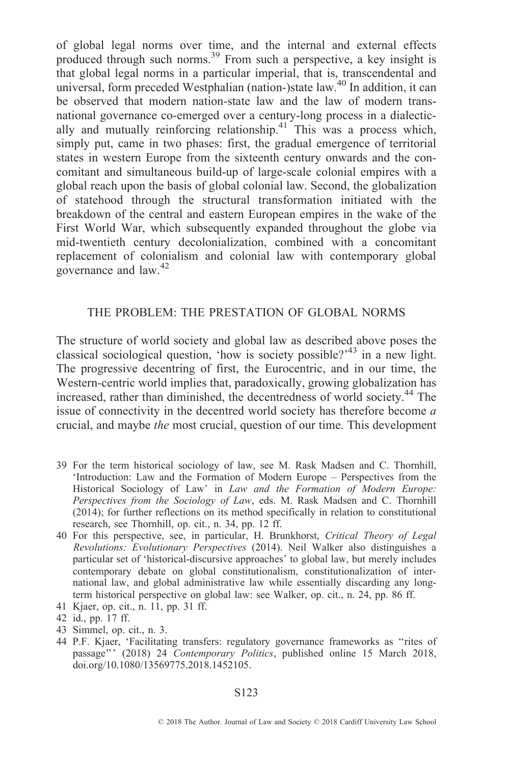of global legal norms over time, and the internal and external effects produced through such norms.39 From such a perspective, a key insight is that global legal norms in a particular imperial, that is, transcendental and universal, form preceded Westphalian (nation-)state law.<sup>40</sup> In addition, it can be observed that modern nation-state law and the law of modern transnational governance co-emerged over a century-long process in a dialectically and mutually reinforcing relationship.<sup>41</sup> This was a process which, simply put, came in two phases: first, the gradual emergence of territorial states in western Europe from the sixteenth century onwards and the concomitant and simultaneous build-up of large-scale colonial empires with a global reach upon the basis of global colonial law. Second, the globalization of statehood through the structural transformation initiated with the breakdown of the central and eastern European empires in the wake of the First World War, which subsequently expanded throughout the globe via mid-twentieth century decolonialization, combined with a concomitant replacement of colonialism and colonial law with contemporary global governance and law.<sup>42</sup>

# THE PROBLEM: THE PRESTATION OF GLOBAL NORMS

The structure of world society and global law as described above poses the classical sociological question, 'how is society possible?'<sup>43</sup> in a new light. The progressive decentring of first, the Eurocentric, and in our time, the Western-centric world implies that, paradoxically, growing globalization has increased, rather than diminished, the decentredness of world society.<sup>44</sup> The issue of connectivity in the decentred world society has therefore become a crucial, and maybe the most crucial, question of our time. This development

- 39 For the term historical sociology of law, see M. Rask Madsen and C. Thornhill, 'Introduction: Law and the Formation of Modern Europe – Perspectives from the Historical Sociology of Law' in Law and the Formation of Modern Europe: Perspectives from the Sociology of Law, eds. M. Rask Madsen and C. Thornhill (2014); for further reflections on its method specifically in relation to constitutional research, see Thornhill, op. cit., n. 34, pp. 12 ff.
- 40 For this perspective, see, in particular, H. Brunkhorst, Critical Theory of Legal Revolutions: Evolutionary Perspectives (2014). Neil Walker also distinguishes a particular set of 'historical-discursive approaches' to global law, but merely includes contemporary debate on global constitutionalism, constitutionalization of international law, and global administrative law while essentially discarding any longterm historical perspective on global law: see Walker, op. cit., n. 24, pp. 86 ff.
- 41 Kjaer, op. cit., n. 11, pp. 31 ff.
- 42 id., pp. 17 ff.
- 43 Simmel, op. cit., n. 3.
- 44 P.F. Kjaer, 'Facilitating transfers: regulatory governance frameworks as "rites of passage''' (2018) 24 Contemporary Politics, published online 15 March 2018, doi.org/10.1080/13569775.2018.1452105.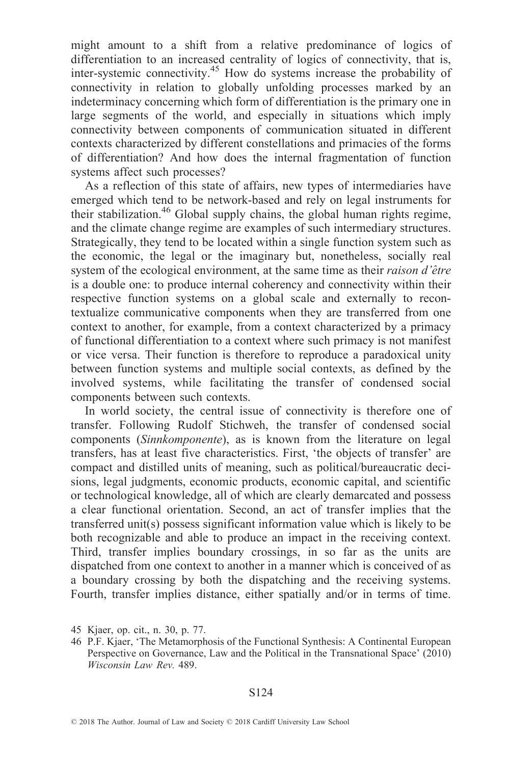might amount to a shift from a relative predominance of logics of differentiation to an increased centrality of logics of connectivity, that is, inter-systemic connectivity.<sup>45</sup> How do systems increase the probability of connectivity in relation to globally unfolding processes marked by an indeterminacy concerning which form of differentiation is the primary one in large segments of the world, and especially in situations which imply connectivity between components of communication situated in different contexts characterized by different constellations and primacies of the forms of differentiation? And how does the internal fragmentation of function systems affect such processes?

As a reflection of this state of affairs, new types of intermediaries have emerged which tend to be network-based and rely on legal instruments for their stabilization.46 Global supply chains, the global human rights regime, and the climate change regime are examples of such intermediary structures. Strategically, they tend to be located within a single function system such as the economic, the legal or the imaginary but, nonetheless, socially real system of the ecological environment, at the same time as their *raison d'être* is a double one: to produce internal coherency and connectivity within their respective function systems on a global scale and externally to recontextualize communicative components when they are transferred from one context to another, for example, from a context characterized by a primacy of functional differentiation to a context where such primacy is not manifest or vice versa. Their function is therefore to reproduce a paradoxical unity between function systems and multiple social contexts, as defined by the involved systems, while facilitating the transfer of condensed social components between such contexts.

In world society, the central issue of connectivity is therefore one of transfer. Following Rudolf Stichweh, the transfer of condensed social components (Sinnkomponente), as is known from the literature on legal transfers, has at least five characteristics. First, `the objects of transfer' are compact and distilled units of meaning, such as political/bureaucratic decisions, legal judgments, economic products, economic capital, and scientific or technological knowledge, all of which are clearly demarcated and possess a clear functional orientation. Second, an act of transfer implies that the transferred unit(s) possess significant information value which is likely to be both recognizable and able to produce an impact in the receiving context. Third, transfer implies boundary crossings, in so far as the units are dispatched from one context to another in a manner which is conceived of as a boundary crossing by both the dispatching and the receiving systems. Fourth, transfer implies distance, either spatially and/or in terms of time.

<sup>45</sup> Kjaer, op. cit., n. 30, p. 77.

<sup>46</sup> P.F. Kjaer, `The Metamorphosis of the Functional Synthesis: A Continental European Perspective on Governance, Law and the Political in the Transnational Space' (2010) Wisconsin Law Rev. 489.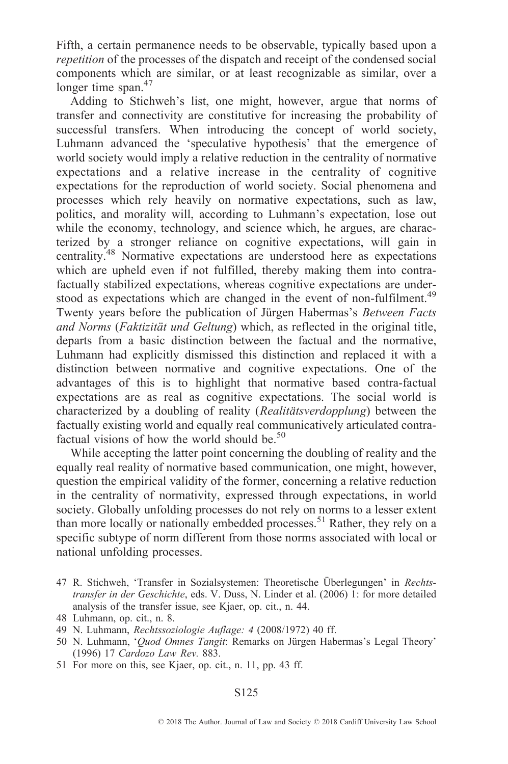Fifth, a certain permanence needs to be observable, typically based upon a repetition of the processes of the dispatch and receipt of the condensed social components which are similar, or at least recognizable as similar, over a longer time span.<sup>47</sup>

Adding to Stichweh's list, one might, however, argue that norms of transfer and connectivity are constitutive for increasing the probability of successful transfers. When introducing the concept of world society, Luhmann advanced the `speculative hypothesis' that the emergence of world society would imply a relative reduction in the centrality of normative expectations and a relative increase in the centrality of cognitive expectations for the reproduction of world society. Social phenomena and processes which rely heavily on normative expectations, such as law, politics, and morality will, according to Luhmann's expectation, lose out while the economy, technology, and science which, he argues, are characterized by a stronger reliance on cognitive expectations, will gain in centrality.48 Normative expectations are understood here as expectations which are upheld even if not fulfilled, thereby making them into contrafactually stabilized expectations, whereas cognitive expectations are understood as expectations which are changed in the event of non-fulfilment.<sup>49</sup> Twenty years before the publication of Jürgen Habermas's Between Facts and Norms (Faktizität und Geltung) which, as reflected in the original title, departs from a basic distinction between the factual and the normative, Luhmann had explicitly dismissed this distinction and replaced it with a distinction between normative and cognitive expectations. One of the advantages of this is to highlight that normative based contra-factual expectations are as real as cognitive expectations. The social world is characterized by a doubling of reality (Realitätsverdopplung) between the factually existing world and equally real communicatively articulated contrafactual visions of how the world should be.<sup>50</sup>

While accepting the latter point concerning the doubling of reality and the equally real reality of normative based communication, one might, however, question the empirical validity of the former, concerning a relative reduction in the centrality of normativity, expressed through expectations, in world society. Globally unfolding processes do not rely on norms to a lesser extent than more locally or nationally embedded processes.<sup>51</sup> Rather, they rely on a specific subtype of norm different from those norms associated with local or national unfolding processes.

- 47 R. Stichweh, 'Transfer in Sozialsystemen: Theoretische Überlegungen' in Rechtstransfer in der Geschichte, eds. V. Duss, N. Linder et al. (2006) 1: for more detailed analysis of the transfer issue, see Kjaer, op. cit., n. 44.
- 48 Luhmann, op. cit., n. 8.
- 49 N. Luhmann, Rechtssoziologie Auflage: 4 (2008/1972) 40 ff.
- 50 N. Luhmann, 'Quod Omnes Tangit: Remarks on Jürgen Habermas's Legal Theory' (1996) 17 Cardozo Law Rev. 883.
- 51 For more on this, see Kjaer, op. cit., n. 11, pp. 43 ff.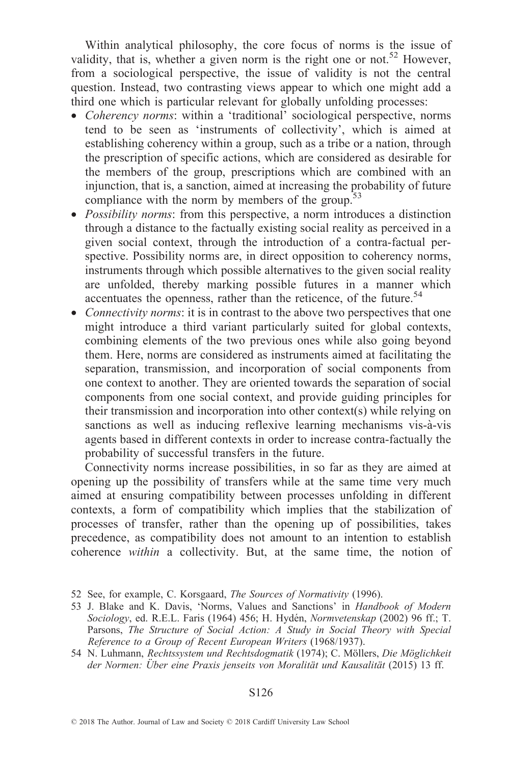Within analytical philosophy, the core focus of norms is the issue of validity, that is, whether a given norm is the right one or not.<sup>52</sup> However, from a sociological perspective, the issue of validity is not the central question. Instead, two contrasting views appear to which one might add a third one which is particular relevant for globally unfolding processes:

- Coherency norms: within a 'traditional' sociological perspective, norms tend to be seen as `instruments of collectivity', which is aimed at establishing coherency within a group, such as a tribe or a nation, through the prescription of specific actions, which are considered as desirable for the members of the group, prescriptions which are combined with an injunction, that is, a sanction, aimed at increasing the probability of future compliance with the norm by members of the group.<sup>53</sup>
- *Possibility norms*: from this perspective, a norm introduces a distinction through a distance to the factually existing social reality as perceived in a given social context, through the introduction of a contra-factual perspective. Possibility norms are, in direct opposition to coherency norms, instruments through which possible alternatives to the given social reality are unfolded, thereby marking possible futures in a manner which accentuates the openness, rather than the reticence, of the future.<sup>54</sup>
- Connectivity norms: it is in contrast to the above two perspectives that one might introduce a third variant particularly suited for global contexts, combining elements of the two previous ones while also going beyond them. Here, norms are considered as instruments aimed at facilitating the separation, transmission, and incorporation of social components from one context to another. They are oriented towards the separation of social components from one social context, and provide guiding principles for their transmission and incorporation into other context(s) while relying on sanctions as well as inducing reflexive learning mechanisms vis-à-vis agents based in different contexts in order to increase contra-factually the probability of successful transfers in the future.

Connectivity norms increase possibilities, in so far as they are aimed at opening up the possibility of transfers while at the same time very much aimed at ensuring compatibility between processes unfolding in different contexts, a form of compatibility which implies that the stabilization of processes of transfer, rather than the opening up of possibilities, takes precedence, as compatibility does not amount to an intention to establish coherence within a collectivity. But, at the same time, the notion of

<sup>52</sup> See, for example, C. Korsgaard, The Sources of Normativity (1996).

<sup>53</sup> J. Blake and K. Davis, 'Norms, Values and Sanctions' in Handbook of Modern Sociology, ed. R.E.L. Faris  $(1964)$  456; H. Hydén, Normvetenskap (2002) 96 ff.; T. Parsons, The Structure of Social Action: A Study in Social Theory with Special Reference to a Group of Recent European Writers (1968/1937).

<sup>54</sup> N. Luhmann, Rechtssystem und Rechtsdogmatik (1974); C. Möllers, Die Möglichkeit der Normen: Über eine Praxis jenseits von Moralität und Kausalität (2015) 13 ff.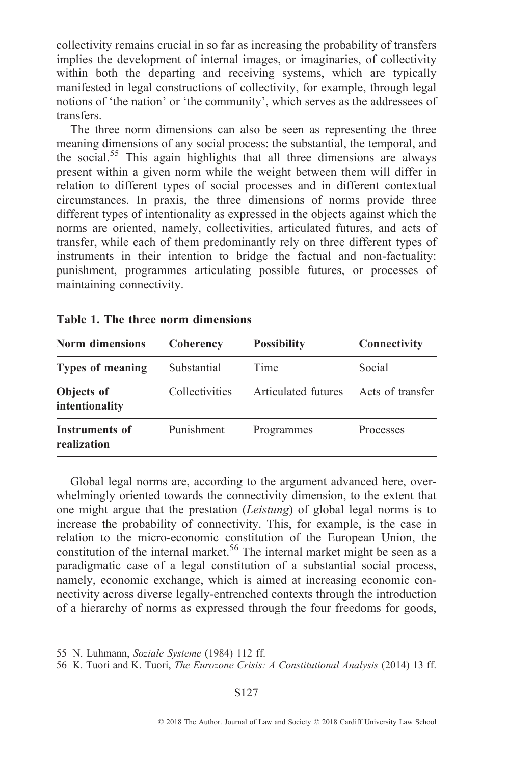collectivity remains crucial in so far as increasing the probability of transfers implies the development of internal images, or imaginaries, of collectivity within both the departing and receiving systems, which are typically manifested in legal constructions of collectivity, for example, through legal notions of 'the nation' or 'the community', which serves as the addressees of transfers.

The three norm dimensions can also be seen as representing the three meaning dimensions of any social process: the substantial, the temporal, and the social.<sup>55</sup> This again highlights that all three dimensions are always present within a given norm while the weight between them will differ in relation to different types of social processes and in different contextual circumstances. In praxis, the three dimensions of norms provide three different types of intentionality as expressed in the objects against which the norms are oriented, namely, collectivities, articulated futures, and acts of transfer, while each of them predominantly rely on three different types of instruments in their intention to bridge the factual and non-factuality: punishment, programmes articulating possible futures, or processes of maintaining connectivity.

| <b>Norm dimensions</b>               | <b>Coherency</b> | <b>Possibility</b>  | Connectivity     |
|--------------------------------------|------------------|---------------------|------------------|
| <b>Types of meaning</b>              | Substantial      | Time                | Social           |
| Objects of<br>intentionality         | Collectivities   | Articulated futures | Acts of transfer |
| <b>Instruments of</b><br>realization | Punishment       | Programmes          | Processes        |

Table 1. The three norm dimensions

Global legal norms are, according to the argument advanced here, overwhelmingly oriented towards the connectivity dimension, to the extent that one might argue that the prestation (Leistung) of global legal norms is to increase the probability of connectivity. This, for example, is the case in relation to the micro-economic constitution of the European Union, the constitution of the internal market.<sup>56</sup> The internal market might be seen as a paradigmatic case of a legal constitution of a substantial social process, namely, economic exchange, which is aimed at increasing economic connectivity across diverse legally-entrenched contexts through the introduction of a hierarchy of norms as expressed through the four freedoms for goods,

56 K. Tuori and K. Tuori, The Eurozone Crisis: A Constitutional Analysis (2014) 13 ff.

<sup>55</sup> N. Luhmann, Soziale Systeme (1984) 112 ff.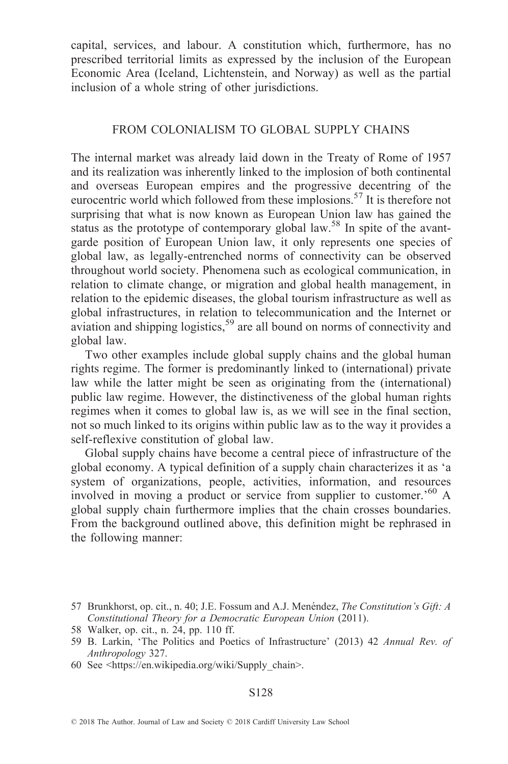capital, services, and labour. A constitution which, furthermore, has no prescribed territorial limits as expressed by the inclusion of the European Economic Area (Iceland, Lichtenstein, and Norway) as well as the partial inclusion of a whole string of other jurisdictions.

# FROM COLONIALISM TO GLOBAL SUPPLY CHAINS

The internal market was already laid down in the Treaty of Rome of 1957 and its realization was inherently linked to the implosion of both continental and overseas European empires and the progressive decentring of the eurocentric world which followed from these implosions.<sup>57</sup> It is therefore not surprising that what is now known as European Union law has gained the status as the prototype of contemporary global law.<sup>58</sup> In spite of the avantgarde position of European Union law, it only represents one species of global law, as legally-entrenched norms of connectivity can be observed throughout world society. Phenomena such as ecological communication, in relation to climate change, or migration and global health management, in relation to the epidemic diseases, the global tourism infrastructure as well as global infrastructures, in relation to telecommunication and the Internet or aviation and shipping logistics,<sup>59</sup> are all bound on norms of connectivity and global law.

Two other examples include global supply chains and the global human rights regime. The former is predominantly linked to (international) private law while the latter might be seen as originating from the (international) public law regime. However, the distinctiveness of the global human rights regimes when it comes to global law is, as we will see in the final section, not so much linked to its origins within public law as to the way it provides a self-reflexive constitution of global law.

Global supply chains have become a central piece of infrastructure of the global economy. A typical definition of a supply chain characterizes it as `a system of organizations, people, activities, information, and resources involved in moving a product or service from supplier to customer.'<sup>60</sup> A global supply chain furthermore implies that the chain crosses boundaries. From the background outlined above, this definition might be rephrased in the following manner:

<sup>57</sup> Brunkhorst, op. cit., n. 40; J.E. Fossum and A.J. Menéndez, *The Constitution's Gift: A* Constitutional Theory for a Democratic European Union (2011).

<sup>58</sup> Walker, op. cit., n. 24, pp. 110 ff.

<sup>59</sup> B. Larkin, 'The Politics and Poetics of Infrastructure' (2013) 42 Annual Rev. of Anthropology 327.

<sup>60</sup> See <https://en.wikipedia.org/wiki/Supply\_chain>.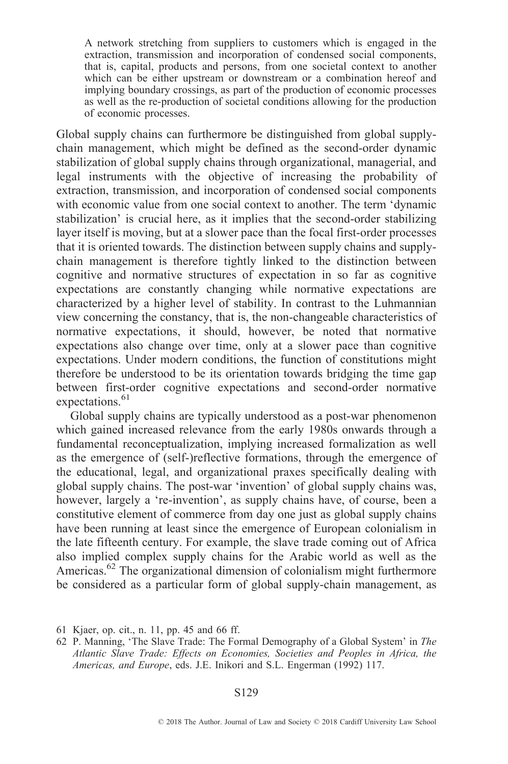A network stretching from suppliers to customers which is engaged in the extraction, transmission and incorporation of condensed social components, that is, capital, products and persons, from one societal context to another which can be either upstream or downstream or a combination hereof and implying boundary crossings, as part of the production of economic processes as well as the re-production of societal conditions allowing for the production of economic processes.

Global supply chains can furthermore be distinguished from global supplychain management, which might be defined as the second-order dynamic stabilization of global supply chains through organizational, managerial, and legal instruments with the objective of increasing the probability of extraction, transmission, and incorporation of condensed social components with economic value from one social context to another. The term 'dynamic stabilization' is crucial here, as it implies that the second-order stabilizing layer itself is moving, but at a slower pace than the focal first-order processes that it is oriented towards. The distinction between supply chains and supplychain management is therefore tightly linked to the distinction between cognitive and normative structures of expectation in so far as cognitive expectations are constantly changing while normative expectations are characterized by a higher level of stability. In contrast to the Luhmannian view concerning the constancy, that is, the non-changeable characteristics of normative expectations, it should, however, be noted that normative expectations also change over time, only at a slower pace than cognitive expectations. Under modern conditions, the function of constitutions might therefore be understood to be its orientation towards bridging the time gap between first-order cognitive expectations and second-order normative expectations.<sup>61</sup>

Global supply chains are typically understood as a post-war phenomenon which gained increased relevance from the early 1980s onwards through a fundamental reconceptualization, implying increased formalization as well as the emergence of (self-)reflective formations, through the emergence of the educational, legal, and organizational praxes specifically dealing with global supply chains. The post-war `invention' of global supply chains was, however, largely a 're-invention', as supply chains have, of course, been a constitutive element of commerce from day one just as global supply chains have been running at least since the emergence of European colonialism in the late fifteenth century. For example, the slave trade coming out of Africa also implied complex supply chains for the Arabic world as well as the Americas.<sup>62</sup> The organizational dimension of colonialism might furthermore be considered as a particular form of global supply-chain management, as

<sup>61</sup> Kjaer, op. cit., n. 11, pp. 45 and 66 ff.

<sup>62</sup> P. Manning, `The Slave Trade: The Formal Demography of a Global System' in The Atlantic Slave Trade: Effects on Economies, Societies and Peoples in Africa, the Americas, and Europe, eds. J.E. Inikori and S.L. Engerman (1992) 117.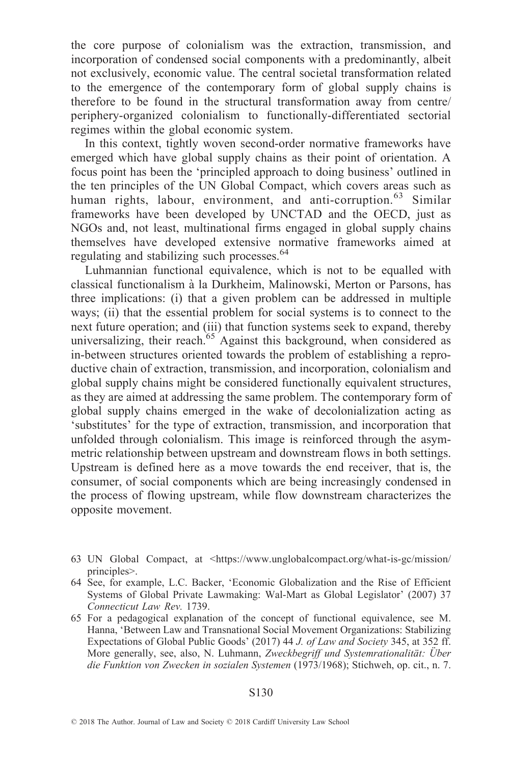the core purpose of colonialism was the extraction, transmission, and incorporation of condensed social components with a predominantly, albeit not exclusively, economic value. The central societal transformation related to the emergence of the contemporary form of global supply chains is therefore to be found in the structural transformation away from centre/ periphery-organized colonialism to functionally-differentiated sectorial regimes within the global economic system.

In this context, tightly woven second-order normative frameworks have emerged which have global supply chains as their point of orientation. A focus point has been the `principled approach to doing business' outlined in the ten principles of the UN Global Compact, which covers areas such as human rights, labour, environment, and anti-corruption. <sup>63</sup> Similar frameworks have been developed by UNCTAD and the OECD, just as NGOs and, not least, multinational firms engaged in global supply chains themselves have developed extensive normative frameworks aimed at regulating and stabilizing such processes.  $64$ 

Luhmannian functional equivalence, which is not to be equalled with classical functionalism à la Durkheim, Malinowski, Merton or Parsons, has three implications: (i) that a given problem can be addressed in multiple ways; (ii) that the essential problem for social systems is to connect to the next future operation; and (iii) that function systems seek to expand, thereby universalizing, their reach.<sup>65</sup> Against this background, when considered as in-between structures oriented towards the problem of establishing a reproductive chain of extraction, transmission, and incorporation, colonialism and global supply chains might be considered functionally equivalent structures, as they are aimed at addressing the same problem. The contemporary form of global supply chains emerged in the wake of decolonialization acting as `substitutes' for the type of extraction, transmission, and incorporation that unfolded through colonialism. This image is reinforced through the asymmetric relationship between upstream and downstream flows in both settings. Upstream is defined here as a move towards the end receiver, that is, the consumer, of social components which are being increasingly condensed in the process of flowing upstream, while flow downstream characterizes the opposite movement.

<sup>63</sup> UN Global Compact, at <https://www.unglobalcompact.org/what-is-gc/mission/ principles>.

<sup>64</sup> See, for example, L.C. Backer, `Economic Globalization and the Rise of Efficient Systems of Global Private Lawmaking: Wal-Mart as Global Legislator' (2007) 37 Connecticut Law Rev. 1739.

<sup>65</sup> For a pedagogical explanation of the concept of functional equivalence, see M. Hanna, 'Between Law and Transnational Social Movement Organizations: Stabilizing Expectations of Global Public Goods' (2017) 44 J. of Law and Society 345, at 352 ff. More generally, see, also, N. Luhmann, Zweckbegriff und Systemrationalität: Über die Funktion von Zwecken in sozialen Systemen (1973/1968); Stichweh, op. cit., n. 7.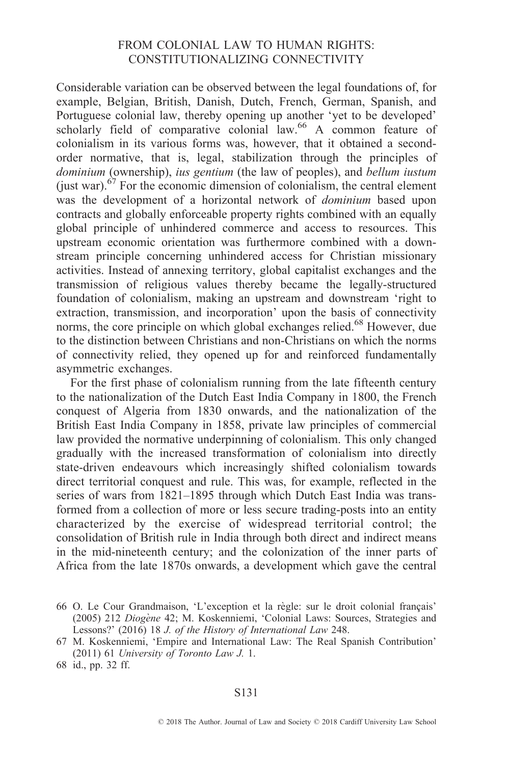# FROM COLONIAL LAW TO HUMAN RIGHTS: CONSTITUTIONALIZING CONNECTIVITY

Considerable variation can be observed between the legal foundations of, for example, Belgian, British, Danish, Dutch, French, German, Spanish, and Portuguese colonial law, thereby opening up another `yet to be developed' scholarly field of comparative colonial law.<sup>66</sup> A common feature of colonialism in its various forms was, however, that it obtained a secondorder normative, that is, legal, stabilization through the principles of dominium (ownership), ius gentium (the law of peoples), and bellum iustum (just war).<sup>67</sup> For the economic dimension of colonialism, the central element was the development of a horizontal network of dominium based upon contracts and globally enforceable property rights combined with an equally global principle of unhindered commerce and access to resources. This upstream economic orientation was furthermore combined with a downstream principle concerning unhindered access for Christian missionary activities. Instead of annexing territory, global capitalist exchanges and the transmission of religious values thereby became the legally-structured foundation of colonialism, making an upstream and downstream `right to extraction, transmission, and incorporation' upon the basis of connectivity norms, the core principle on which global exchanges relied.<sup>68</sup> However, due to the distinction between Christians and non-Christians on which the norms of connectivity relied, they opened up for and reinforced fundamentally asymmetric exchanges.

For the first phase of colonialism running from the late fifteenth century to the nationalization of the Dutch East India Company in 1800, the French conquest of Algeria from 1830 onwards, and the nationalization of the British East India Company in 1858, private law principles of commercial law provided the normative underpinning of colonialism. This only changed gradually with the increased transformation of colonialism into directly state-driven endeavours which increasingly shifted colonialism towards direct territorial conquest and rule. This was, for example, reflected in the series of wars from 1821-1895 through which Dutch East India was transformed from a collection of more or less secure trading-posts into an entity characterized by the exercise of widespread territorial control; the consolidation of British rule in India through both direct and indirect means in the mid-nineteenth century; and the colonization of the inner parts of Africa from the late 1870s onwards, a development which gave the central

<sup>66</sup> O. Le Cour Grandmaison, 'L'exception et la règle: sur le droit colonial français' (2005) 212 Diogène 42; M. Koskenniemi, 'Colonial Laws: Sources, Strategies and Lessons?' (2016) 18 J. of the History of International Law 248.

<sup>67</sup> M. Koskenniemi, `Empire and International Law: The Real Spanish Contribution' (2011) 61 University of Toronto Law J. 1.

<sup>68</sup> id., pp. 32 ff.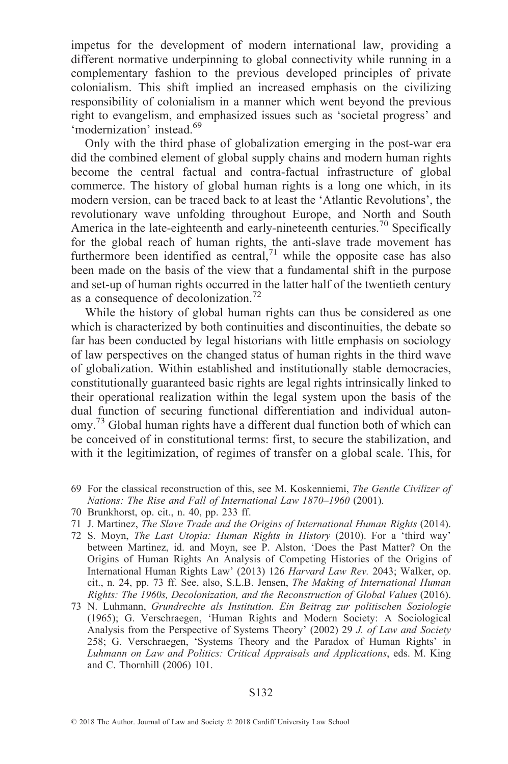impetus for the development of modern international law, providing a different normative underpinning to global connectivity while running in a complementary fashion to the previous developed principles of private colonialism. This shift implied an increased emphasis on the civilizing responsibility of colonialism in a manner which went beyond the previous right to evangelism, and emphasized issues such as `societal progress' and `modernization' instead.69

Only with the third phase of globalization emerging in the post-war era did the combined element of global supply chains and modern human rights become the central factual and contra-factual infrastructure of global commerce. The history of global human rights is a long one which, in its modern version, can be traced back to at least the `Atlantic Revolutions', the revolutionary wave unfolding throughout Europe, and North and South America in the late-eighteenth and early-nineteenth centuries.<sup>70</sup> Specifically for the global reach of human rights, the anti-slave trade movement has furthermore been identified as central,<sup>71</sup> while the opposite case has also been made on the basis of the view that a fundamental shift in the purpose and set-up of human rights occurred in the latter half of the twentieth century as a consequence of decolonization.<sup>72</sup>

While the history of global human rights can thus be considered as one which is characterized by both continuities and discontinuities, the debate so far has been conducted by legal historians with little emphasis on sociology of law perspectives on the changed status of human rights in the third wave of globalization. Within established and institutionally stable democracies, constitutionally guaranteed basic rights are legal rights intrinsically linked to their operational realization within the legal system upon the basis of the dual function of securing functional differentiation and individual autonomy.<sup>73</sup> Global human rights have a different dual function both of which can be conceived of in constitutional terms: first, to secure the stabilization, and with it the legitimization, of regimes of transfer on a global scale. This, for

- 71 J. Martinez, The Slave Trade and the Origins of International Human Rights (2014).
- 72 S. Moyn, The Last Utopia: Human Rights in History (2010). For a `third way' between Martinez, id. and Moyn, see P. Alston, `Does the Past Matter? On the Origins of Human Rights An Analysis of Competing Histories of the Origins of International Human Rights Law' (2013) 126 Harvard Law Rev. 2043; Walker, op. cit., n. 24, pp. 73 ff. See, also, S.L.B. Jensen, The Making of International Human Rights: The 1960s, Decolonization, and the Reconstruction of Global Values (2016).
- 73 N. Luhmann, Grundrechte als Institution. Ein Beitrag zur politischen Soziologie (1965); G. Verschraegen, `Human Rights and Modern Society: A Sociological Analysis from the Perspective of Systems Theory' (2002) 29 J. of Law and Society 258; G. Verschraegen, `Systems Theory and the Paradox of Human Rights' in Luhmann on Law and Politics: Critical Appraisals and Applications, eds. M. King and C. Thornhill (2006) 101.

<sup>69</sup> For the classical reconstruction of this, see M. Koskenniemi, The Gentle Civilizer of Nations: The Rise and Fall of International Law 1870-1960 (2001).

<sup>70</sup> Brunkhorst, op. cit., n. 40, pp. 233 ff.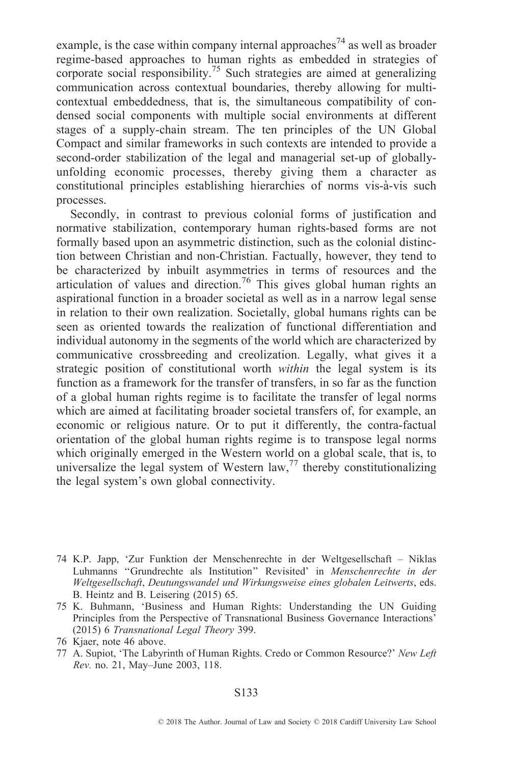example, is the case within company internal approaches<sup>74</sup> as well as broader regime-based approaches to human rights as embedded in strategies of corporate social responsibility.75 Such strategies are aimed at generalizing communication across contextual boundaries, thereby allowing for multicontextual embeddedness, that is, the simultaneous compatibility of condensed social components with multiple social environments at different stages of a supply-chain stream. The ten principles of the UN Global Compact and similar frameworks in such contexts are intended to provide a second-order stabilization of the legal and managerial set-up of globallyunfolding economic processes, thereby giving them a character as constitutional principles establishing hierarchies of norms vis-à-vis such processes.

Secondly, in contrast to previous colonial forms of justification and normative stabilization, contemporary human rights-based forms are not formally based upon an asymmetric distinction, such as the colonial distinction between Christian and non-Christian. Factually, however, they tend to be characterized by inbuilt asymmetries in terms of resources and the articulation of values and direction.<sup>76</sup> This gives global human rights an aspirational function in a broader societal as well as in a narrow legal sense in relation to their own realization. Societally, global humans rights can be seen as oriented towards the realization of functional differentiation and individual autonomy in the segments of the world which are characterized by communicative crossbreeding and creolization. Legally, what gives it a strategic position of constitutional worth within the legal system is its function as a framework for the transfer of transfers, in so far as the function of a global human rights regime is to facilitate the transfer of legal norms which are aimed at facilitating broader societal transfers of, for example, an economic or religious nature. Or to put it differently, the contra-factual orientation of the global human rights regime is to transpose legal norms which originally emerged in the Western world on a global scale, that is, to universalize the legal system of Western law,  $^{77}$  thereby constitutionalizing the legal system's own global connectivity.

- 74 K.P. Japp, 'Zur Funktion der Menschenrechte in der Weltgesellschaft Niklas Luhmanns "Grundrechte als Institution" Revisited' in Menschenrechte in der Weltgesellschaft, Deutungswandel und Wirkungsweise eines globalen Leitwerts, eds. B. Heintz and B. Leisering (2015) 65.
- 75 K. Buhmann, `Business and Human Rights: Understanding the UN Guiding Principles from the Perspective of Transnational Business Governance Interactions' (2015) 6 Transnational Legal Theory 399.
- 76 Kjaer, note 46 above.
- 77 A. Supiot, 'The Labyrinth of Human Rights. Credo or Common Resource?' New Left Rev. no. 21, May-June 2003, 118.